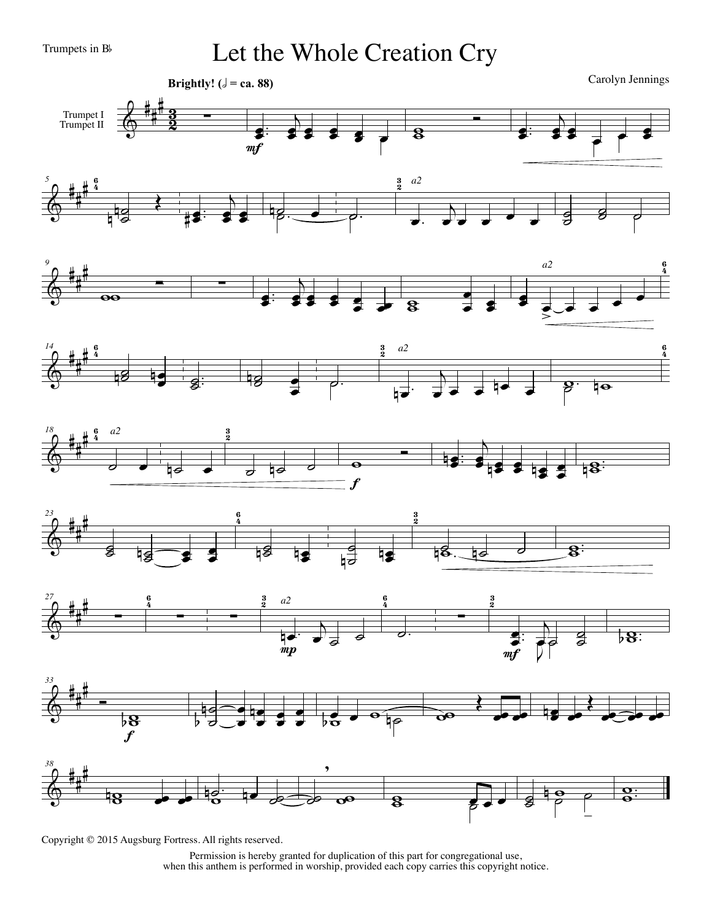Trumpets in Bb

Let the Whole Creation Cry

Carolyn Jennings

 $e^e$ 





 $\begin{array}{c} \hline \text{...} \\ \text{...} \\ \text{...} \end{array}$ 

 $e^e$ 















Copyright © 2015 Augsburg Fortress. All rights reserved.

Permission is hereby granted for duplication of this part for congregational use, when this anthem is performed in worship, provided each copy carries this copyright notice.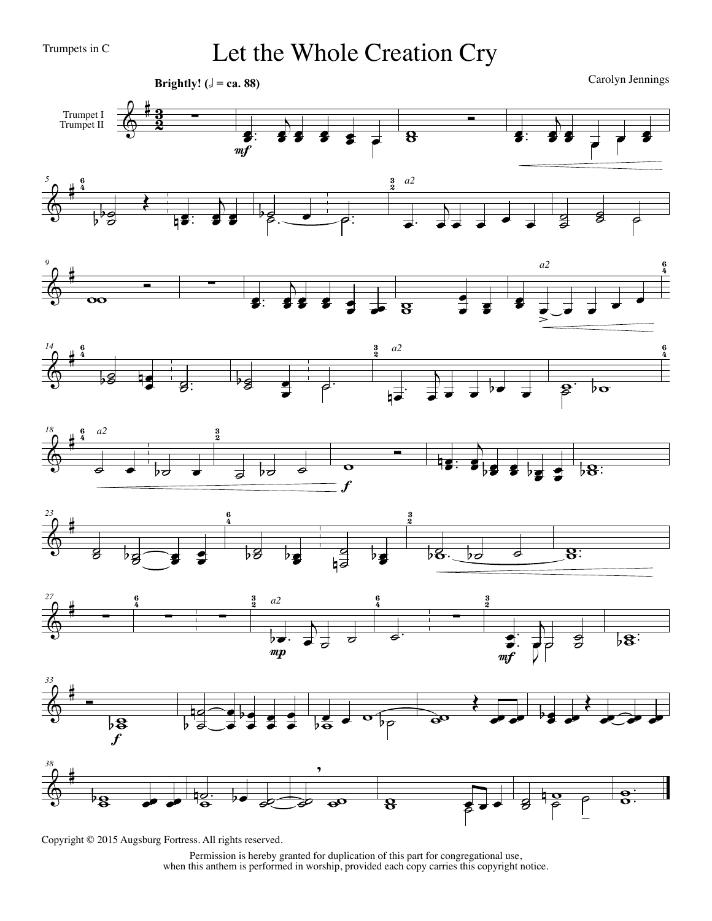Trumpets in C

Let the Whole Creation Cry

Carolyn Jennings **Brightly!** ( $\sqrt{ }$  = ca. 88) Trumpet II  $\begin{array}{c} \begin{array}{c} \longrightarrow \\ \longrightarrow \\ \longrightarrow \\ \longrightarrow \end{array} \end{array}$ <u>3</u><br>១  $\begin{array}{c|c} \hline \textbf{0} & \textbf{0} & \textbf{0} \end{array}$  $\overline{b}$  $\overline{b}$  $\frac{3}{2}$   $\frac{2}{3}$  $\overline{\bullet}$  :  $e^e$  $\overline{\bullet}$ :  $e^e$  $m f$  $\frac{5}{2}$  6  $\frac{6}{5}$  $\frac{3}{2}$ *a2*  $\&$   $\overset{4}{\bigcirc}$  $\begin{picture}(20,10) \put(0,0){\line(1,0){155}} \put(15,0){\line(1,0){155}} \put(15,0){\line(1,0){155}} \put(15,0){\line(1,0){155}} \put(15,0){\line(1,0){155}} \put(15,0){\line(1,0){155}} \put(15,0){\line(1,0){155}} \put(15,0){\line(1,0){155}} \put(15,0){\line(1,0){155}} \put(15,0){\line(1,0){155}} \put(15,0){\line(1,0){155}} \$  $\overline{b}$  $\frac{1}{\sqrt{1-\frac{1}{\sqrt{1-\frac{1}{\sqrt{1-\frac{1}{\sqrt{1-\frac{1}{\sqrt{1-\frac{1}{\sqrt{1-\frac{1}{\sqrt{1-\frac{1}{\sqrt{1-\frac{1}{\sqrt{1-\frac{1}{\sqrt{1-\frac{1}{\sqrt{1-\frac{1}{\sqrt{1-\frac{1}{\sqrt{1-\frac{1}{\sqrt{1-\frac{1}{\sqrt{1-\frac{1}{\sqrt{1-\frac{1}{\sqrt{1-\frac{1}{\sqrt{1-\frac{1}{\sqrt{1-\frac{1}{\sqrt{1-\frac{1}{\sqrt{1-\frac{1}{\sqrt{1-\frac{1}{\sqrt{1-\frac{1}{\sqrt{1-\frac{1$ **b**  $\overline{\mathsf{O}}$  $\overrightarrow{p}$ .  $\overrightarrow{p}$ .  $\begin{array}{c|c} \mathbf{0} & \mathbf{0} \end{array}$  $\overline{\mathbf{e}}$  $\overrightarrow{ }$  $\overline{\mathsf{c}}$  $\frac{1}{e}$   $\frac{1}{e}$   $\frac{1}{e}$   $\frac{1}{e}$   $\frac{1}{e}$  $\frac{1}{2}$  $\delta$  $\tilde{e}$ & # <sup>4</sup> *<sup>9</sup>* <sup>6</sup> *a2* <sup>w</sup> <sup>Ó</sup> <sup>w</sup> <sup>∑</sup> .  $\overline{b}$ œ  $\overline{\bullet}$ :  $\bullet$   $\bullet$   $\bullet$   $\bullet$  $\overline{\bullet}$  =  $\frac{1}{\sigma}$   $\frac{1}{\sigma}$   $\frac{1}{\sigma}$   $\frac{1}{\sigma}$  $\frac{1}{2}$   $\frac{1}{2}$   $\frac{1}{8}$  $\frac{1}{2}$  $\geq$ <sup>3</sup> <sup>4</sup> *<sup>14</sup>* <sup>6</sup>  $\ddot{\mathbf{6}}$ *a2*  $\frac{3}{2}$  $\&$   $\frac{4}{3}$  $\frac{1}{6}$  $\overline{b}$  $\frac{1}{2}$  .  $\frac{1}{\sqrt{2}}$  $\overline{g}$ :  $\overrightarrow{p}$  .  $\overrightarrow{p}$  . œ  $\frac{1}{e}$ e e be e  $\mathbf{\hat{z}}$ ,  $\beta \mathbf{\alpha}$ œ  $\frac{18}{9}$  6  $a2$  3  $\frac{6}{5}$ *a2*  $\&$   $\frac{4}{3}$  $rac{6}{2}$  $. 6. 6$ b˙ <sup>œ</sup> ˙ b˙ ˙ <sup>w</sup> <sup>Ó</sup>  $e^{i\theta}$ .  $e^{-\frac{1}{b}8}$  $\begin{array}{c} \circ \\ \bullet \end{array}$  $\boldsymbol{f}$  $\overrightarrow{23}$   $\overrightarrow{6}$   $\overrightarrow{3}$ **6**  $\&$  #  $\frac{5}{2}$  $\overline{\mathscr{E} \cup \mathscr{E}}$ **bg e**<br>**bg e**  $b$   $c$   $b$   $c$   $d$   $8$ œ  $\overline{\mathbf{g}}$ : œ b∂  $27$  3  $a2$  9  $a2$  9  $a2$  $\frac{3}{2}$  a 2  $\frac{6}{4}$  $\frac{6}{5}$ 6  $\frac{3}{2}$ *a2*  $\frac{3}{2}$ & # <sup>4</sup>  $\frac{1}{2}$   $\frac{1}{2}$   $\frac{1}{2}$   $\frac{1}{2}$   $\frac{1}{2}$   $\frac{1}{2}$   $\frac{1}{2}$   $\frac{1}{2}$   $\frac{1}{2}$   $\frac{1}{2}$   $\frac{1}{2}$   $\frac{1}{2}$   $\frac{1}{2}$   $\frac{1}{2}$   $\frac{1}{2}$   $\frac{1}{2}$   $\frac{1}{2}$   $\frac{1}{2}$   $\frac{1}{2}$   $\frac{1}{2}$   $\frac{1}{2}$   $\frac{1}{2}$   $\begin{array}{c|c|c|c|c} \hline \quad & \bullet & \quad \text{.} \\\hline \hline \end{array}$  $\overline{b}$  $\frac{e}{e}$ . ˙ ˙ 7, हैं  $\overline{)8}$ œ ˙  $mp$  $\triangledown$  $m f$ *33*  $& 4 \nbrace$ Œ Œ n  $\overline{\phantom{a}}$ œ  $\frac{1}{\epsilon}$   $\frac{1}{\epsilon}$ œ œ œœ œœ œœb œœ  $e^{\theta}$  or  $\theta$ œœ œœ œœ  $\overline{5}$ b  $\mathfrak{g}_{\mathbb{L}}$ œ œ œ œ f , *38*  $&$ 5 .  $\overline{\mathbf{e}}$ .  $\frac{1}{8}$  e e  $\frac{1}{8}$  $\frac{\partial}{\partial \theta}$  be  $\frac{\partial}{\partial \theta}$  to  $\frac{\partial}{\partial \theta}$  $\begin{array}{c} \circ \\ \circ \\ \circ \end{array}$ ww œ œ œ ˙  $\overline{\mathbf{S}}$  $\overline{\mathbf{o}}$ |<br>|-

Permission is hereby granted for duplication of this part for congregational use, when this anthem is performed in worship, provided each copy carries this copyright notice.

Copyright © 2015 Augsburg Fortress. All rights reserved.